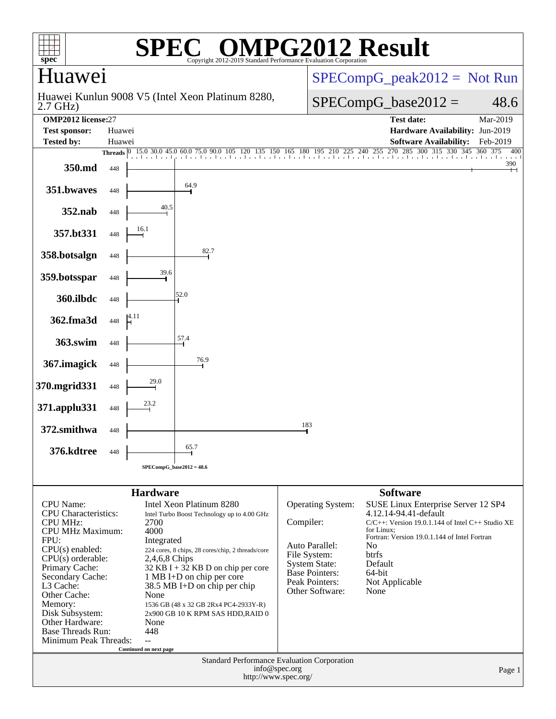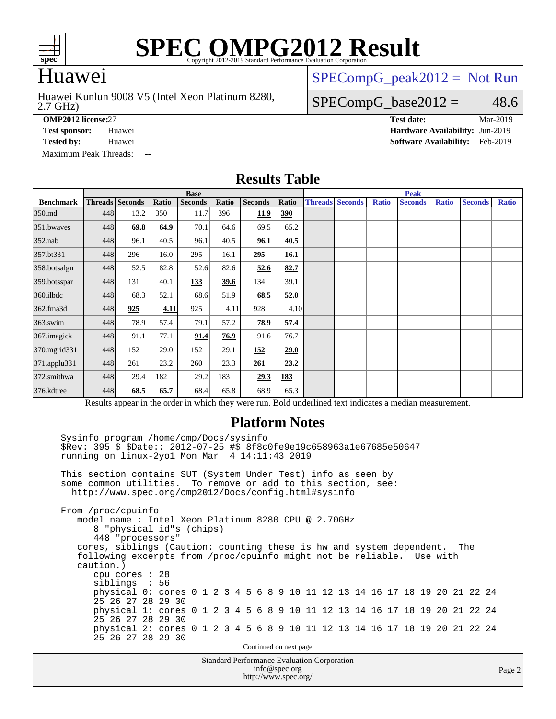

### Huawei

#### 2.7 GHz) Huawei Kunlun 9008 V5 (Intel Xeon Platinum 8280,

[SPECompG\\_peak2012 =](http://www.spec.org/auto/omp2012/Docs/result-fields.html#SPECompGpeak2012) Not Run

### $SPECompG_base2012 = 48.6$  $SPECompG_base2012 = 48.6$

**[OMP2012 license:](http://www.spec.org/auto/omp2012/Docs/result-fields.html#OMP2012license)**27 **[Test date:](http://www.spec.org/auto/omp2012/Docs/result-fields.html#Testdate)** Mar-2019

**[Test sponsor:](http://www.spec.org/auto/omp2012/Docs/result-fields.html#Testsponsor)** Huawei **[Hardware Availability:](http://www.spec.org/auto/omp2012/Docs/result-fields.html#HardwareAvailability)** Jun-2019 **[Tested by:](http://www.spec.org/auto/omp2012/Docs/result-fields.html#Testedby)** Huawei **[Software Availability:](http://www.spec.org/auto/omp2012/Docs/result-fields.html#SoftwareAvailability)** Feb-2019

[Maximum Peak Threads:](http://www.spec.org/auto/omp2012/Docs/result-fields.html#MaximumPeakThreads) --

| <b>Results Table</b> |  |
|----------------------|--|
|----------------------|--|

|                                                                                                                                                                                                                                                                                                                                                                                                                                                                                                                                                                                                                                                                                                                                                                                                                                                                                                                                                                                                             | <b>Base</b> |                 |       |                |       |                                                    |                        | <b>Peak</b>            |  |              |                |  |              |  |                |              |  |
|-------------------------------------------------------------------------------------------------------------------------------------------------------------------------------------------------------------------------------------------------------------------------------------------------------------------------------------------------------------------------------------------------------------------------------------------------------------------------------------------------------------------------------------------------------------------------------------------------------------------------------------------------------------------------------------------------------------------------------------------------------------------------------------------------------------------------------------------------------------------------------------------------------------------------------------------------------------------------------------------------------------|-------------|-----------------|-------|----------------|-------|----------------------------------------------------|------------------------|------------------------|--|--------------|----------------|--|--------------|--|----------------|--------------|--|
| <b>Benchmark</b>                                                                                                                                                                                                                                                                                                                                                                                                                                                                                                                                                                                                                                                                                                                                                                                                                                                                                                                                                                                            |             | Threads Seconds | Ratio | <b>Seconds</b> | Ratio | <b>Seconds</b>                                     | Ratio                  | <b>Threads Seconds</b> |  | <b>Ratio</b> | <b>Seconds</b> |  | <b>Ratio</b> |  | <b>Seconds</b> | <b>Ratio</b> |  |
| 350.md                                                                                                                                                                                                                                                                                                                                                                                                                                                                                                                                                                                                                                                                                                                                                                                                                                                                                                                                                                                                      | 448         | 13.2            | 350   | 11.7           | 396   | 11.9                                               | 390                    |                        |  |              |                |  |              |  |                |              |  |
| 351.bwayes                                                                                                                                                                                                                                                                                                                                                                                                                                                                                                                                                                                                                                                                                                                                                                                                                                                                                                                                                                                                  | 448         | 69.8            | 64.9  | 70.1           | 64.6  | 69.5                                               | 65.2                   |                        |  |              |                |  |              |  |                |              |  |
| 352.nab                                                                                                                                                                                                                                                                                                                                                                                                                                                                                                                                                                                                                                                                                                                                                                                                                                                                                                                                                                                                     | 448         | 96.1            | 40.5  | 96.1           | 40.5  | 96.1                                               | 40.5                   |                        |  |              |                |  |              |  |                |              |  |
| 357.bt331                                                                                                                                                                                                                                                                                                                                                                                                                                                                                                                                                                                                                                                                                                                                                                                                                                                                                                                                                                                                   | 448         | 296             | 16.0  | 295            | 16.1  | 295                                                | 16.1                   |                        |  |              |                |  |              |  |                |              |  |
| 358.botsalgn                                                                                                                                                                                                                                                                                                                                                                                                                                                                                                                                                                                                                                                                                                                                                                                                                                                                                                                                                                                                | 448         | 52.5            | 82.8  | 52.6           | 82.6  | 52.6                                               | 82.7                   |                        |  |              |                |  |              |  |                |              |  |
| $ 359 \text{.}$ botsspar                                                                                                                                                                                                                                                                                                                                                                                                                                                                                                                                                                                                                                                                                                                                                                                                                                                                                                                                                                                    | 448         | 131             | 40.1  | 133            | 39.6  | 134                                                | 39.1                   |                        |  |              |                |  |              |  |                |              |  |
| $360$ .ilbdc                                                                                                                                                                                                                                                                                                                                                                                                                                                                                                                                                                                                                                                                                                                                                                                                                                                                                                                                                                                                | 448         | 68.3            | 52.1  | 68.6           | 51.9  | 68.5                                               | 52.0                   |                        |  |              |                |  |              |  |                |              |  |
| 362.fma3d                                                                                                                                                                                                                                                                                                                                                                                                                                                                                                                                                                                                                                                                                                                                                                                                                                                                                                                                                                                                   | 448         | 925             | 4.11  | 925            | 4.11  | 928                                                | 4.10                   |                        |  |              |                |  |              |  |                |              |  |
| $363$ .swim                                                                                                                                                                                                                                                                                                                                                                                                                                                                                                                                                                                                                                                                                                                                                                                                                                                                                                                                                                                                 | 448         | 78.9            | 57.4  | 79.1           | 57.2  | 78.9                                               | 57.4                   |                        |  |              |                |  |              |  |                |              |  |
| $367$ . imagick                                                                                                                                                                                                                                                                                                                                                                                                                                                                                                                                                                                                                                                                                                                                                                                                                                                                                                                                                                                             | 448         | 91.1            | 77.1  | 91.4           | 76.9  | 91.6                                               | 76.7                   |                        |  |              |                |  |              |  |                |              |  |
| 370.mgrid331                                                                                                                                                                                                                                                                                                                                                                                                                                                                                                                                                                                                                                                                                                                                                                                                                                                                                                                                                                                                | 448         | 152             | 29.0  | 152            | 29.1  | 152                                                | 29.0                   |                        |  |              |                |  |              |  |                |              |  |
| 371.applu331                                                                                                                                                                                                                                                                                                                                                                                                                                                                                                                                                                                                                                                                                                                                                                                                                                                                                                                                                                                                | 448         | 261             | 23.2  | 260            | 23.3  | 261                                                | 23.2                   |                        |  |              |                |  |              |  |                |              |  |
| 372.smithwa                                                                                                                                                                                                                                                                                                                                                                                                                                                                                                                                                                                                                                                                                                                                                                                                                                                                                                                                                                                                 | 448         | 29.4            | 182   | 29.2           | 183   | 29.3                                               | 183                    |                        |  |              |                |  |              |  |                |              |  |
| 376.kdtree                                                                                                                                                                                                                                                                                                                                                                                                                                                                                                                                                                                                                                                                                                                                                                                                                                                                                                                                                                                                  | 448         | 68.5            | 65.7  | 68.4           | 65.8  | 68.9                                               | 65.3                   |                        |  |              |                |  |              |  |                |              |  |
| Results appear in the order in which they were run. Bold underlined text indicates a median measurement.                                                                                                                                                                                                                                                                                                                                                                                                                                                                                                                                                                                                                                                                                                                                                                                                                                                                                                    |             |                 |       |                |       |                                                    |                        |                        |  |              |                |  |              |  |                |              |  |
| Sysinfo program /home/omp/Docs/sysinfo<br>\$Rev: 395 \$ \$Date:: 2012-07-25 #\$ 8f8c0fe9e19c658963ale67685e50647<br>running on linux-2yo1 Mon Mar 4 14:11:43 2019<br>This section contains SUT (System Under Test) info as seen by<br>some common utilities. To remove or add to this section, see:<br>http://www.spec.org/omp2012/Docs/config.html#sysinfo<br>From /proc/cpuinfo<br>model name: Intel Xeon Platinum 8280 CPU @ 2.70GHz<br>8 "physical id"s (chips)<br>448 "processors"<br>cores, siblings (Caution: counting these is hw and system dependent.<br>The<br>following excerpts from /proc/cpuinfo might not be reliable.<br>Use with<br>caution.)<br>cpu cores : 28<br>siblings : 56<br>physical 0: cores 0 1 2 3 4 5 6 8 9 10 11 12 13 14 16 17 18 19 20 21 22 24<br>25 26 27 28 29 30<br>physical 1: cores 0 1 2 3 4 5 6 8 9 10 11 12 13 14 16 17 18 19 20 21 22 24<br>25 26 27 28 29 30<br>physical 2: cores 0 1 2 3 4 5 6 8 9 10 11 12 13 14 16 17 18 19 20 21 22 24<br>25 26 27 28 29 30 |             |                 |       |                |       |                                                    |                        |                        |  |              |                |  |              |  |                |              |  |
|                                                                                                                                                                                                                                                                                                                                                                                                                                                                                                                                                                                                                                                                                                                                                                                                                                                                                                                                                                                                             |             |                 |       |                |       |                                                    | Continued on next page |                        |  |              |                |  |              |  |                |              |  |
|                                                                                                                                                                                                                                                                                                                                                                                                                                                                                                                                                                                                                                                                                                                                                                                                                                                                                                                                                                                                             |             |                 |       |                |       | <b>Standard Performance Evaluation Corporation</b> | info@spec.org          |                        |  |              |                |  |              |  |                | Page 2       |  |

<http://www.spec.org/>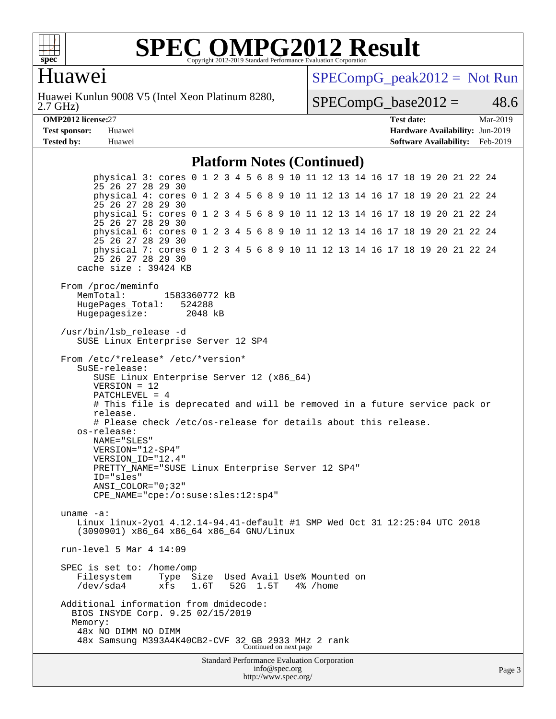

### Huawei

2.7 GHz) Huawei Kunlun 9008 V5 (Intel Xeon Platinum 8280,  $SPECompG_peak2012 = Not Run$  $SPECompG_peak2012 = Not Run$ 

 $SPECompG_base2012 = 48.6$  $SPECompG_base2012 = 48.6$ 

| <b>OMP2012</b> license:2 |  |
|--------------------------|--|
|                          |  |

**[Tested by:](http://www.spec.org/auto/omp2012/Docs/result-fields.html#Testedby)** Huawei **[Software Availability:](http://www.spec.org/auto/omp2012/Docs/result-fields.html#SoftwareAvailability)** Feb-2019

**[OMP2012 license:](http://www.spec.org/auto/omp2012/Docs/result-fields.html#OMP2012license)**27 **[Test date:](http://www.spec.org/auto/omp2012/Docs/result-fields.html#Testdate)** Mar-2019 **[Test sponsor:](http://www.spec.org/auto/omp2012/Docs/result-fields.html#Testsponsor)** Huawei **[Hardware Availability:](http://www.spec.org/auto/omp2012/Docs/result-fields.html#HardwareAvailability)** Jun-2019

#### **[Platform Notes \(Continued\)](http://www.spec.org/auto/omp2012/Docs/result-fields.html#PlatformNotes)**

Standard Performance Evaluation Corporation physical 3: cores 0 1 2 3 4 5 6 8 9 10 11 12 13 14 16 17 18 19 20 21 22 24 25 26 27 28 29 30 physical 4: cores 0 1 2 3 4 5 6 8 9 10 11 12 13 14 16 17 18 19 20 21 22 24 25 26 27 28 29 30 physical 5: cores 0 1 2 3 4 5 6 8 9 10 11 12 13 14 16 17 18 19 20 21 22 24 25 26 27 28 29 30 physical 6: cores 0 1 2 3 4 5 6 8 9 10 11 12 13 14 16 17 18 19 20 21 22 24 25 26 27 28 29 30 physical 7: cores 0 1 2 3 4 5 6 8 9 10 11 12 13 14 16 17 18 19 20 21 22 24 25 26 27 28 29 30 cache size : 39424 KB From /proc/meminfo MemTotal: 1583360772 kB HugePages\_Total: 524288 Hugepagesize: 2048 kB /usr/bin/lsb\_release -d SUSE Linux Enterprise Server 12 SP4 From /etc/\*release\* /etc/\*version\* SuSE-release: SUSE Linux Enterprise Server 12 (x86\_64) VERSION = 12 PATCHLEVEL = 4 # This file is deprecated and will be removed in a future service pack or release. # Please check /etc/os-release for details about this release. os-release: NAME="SLES" VERSION="12-SP4" VERSION\_ID="12.4" PRETTY\_NAME="SUSE Linux Enterprise Server 12 SP4" ID="sles" ANSI\_COLOR="0;32" CPE\_NAME="cpe:/o:suse:sles:12:sp4" uname -a: Linux linux-2yo1 4.12.14-94.41-default #1 SMP Wed Oct 31 12:25:04 UTC 2018 (3090901) x86\_64 x86\_64 x86\_64 GNU/Linux run-level 5 Mar 4 14:09 SPEC is set to: /home/omp Filesystem Type Size Used Avail Use% Mounted on /dev/sda4 xfs 1.6T 52G 1.5T 4% /home Additional information from dmidecode: BIOS INSYDE Corp. 9.25 02/15/2019 Memory: 48x NO DIMM NO DIMM 48x Samsung M393A4K40CB2-CVF 32 GB 2933 MHz 2 rank Continued on next page

[info@spec.org](mailto:info@spec.org) <http://www.spec.org/>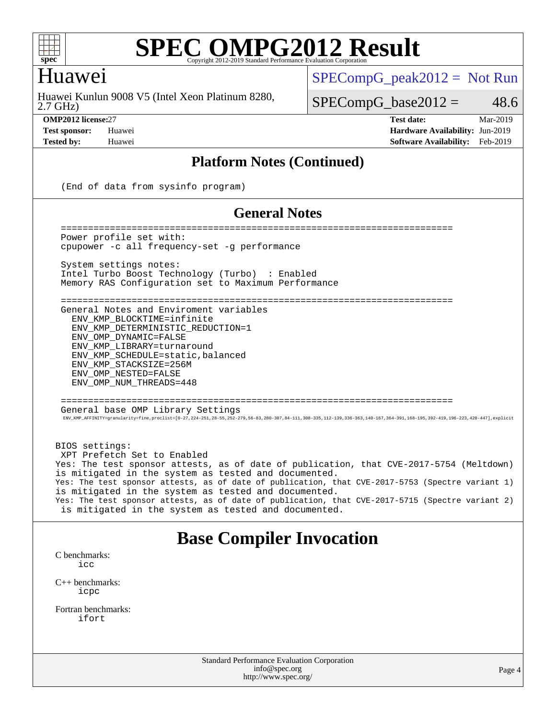

### Huawei

2.7 GHz) Huawei Kunlun 9008 V5 (Intel Xeon Platinum 8280,  $SPECompG_peak2012 = Not Run$  $SPECompG_peak2012 = Not Run$ 

 $SPECompG_base2012 = 48.6$  $SPECompG_base2012 = 48.6$ 

**[OMP2012 license:](http://www.spec.org/auto/omp2012/Docs/result-fields.html#OMP2012license)**27 **[Test date:](http://www.spec.org/auto/omp2012/Docs/result-fields.html#Testdate)** Mar-2019 **[Test sponsor:](http://www.spec.org/auto/omp2012/Docs/result-fields.html#Testsponsor)** Huawei **[Hardware Availability:](http://www.spec.org/auto/omp2012/Docs/result-fields.html#HardwareAvailability)** Jun-2019 **[Tested by:](http://www.spec.org/auto/omp2012/Docs/result-fields.html#Testedby)** Huawei **[Software Availability:](http://www.spec.org/auto/omp2012/Docs/result-fields.html#SoftwareAvailability)** Feb-2019

#### **[Platform Notes \(Continued\)](http://www.spec.org/auto/omp2012/Docs/result-fields.html#PlatformNotes)**

(End of data from sysinfo program)

#### **[General Notes](http://www.spec.org/auto/omp2012/Docs/result-fields.html#GeneralNotes)**

 ======================================================================== Power profile set with: cpupower -c all frequency-set -g performance System settings notes: Intel Turbo Boost Technology (Turbo) : Enabled Memory RAS Configuration set to Maximum Performance ======================================================================== General Notes and Enviroment variables ENV\_KMP\_BLOCKTIME=infinite ENV KMP\_DETERMINISTIC\_REDUCTION=1 ENV\_OMP\_DYNAMIC=FALSE ENV\_KMP\_LIBRARY=turnaround ENV\_KMP\_SCHEDULE=static,balanced ENV\_KMP\_STACKSIZE=256M ENV\_OMP\_NESTED=FALSE ENV\_OMP\_NUM\_THREADS=448 ======================================================================== General base OMP Library Settings ENV\_KMP\_AFFINITY=granularity=fine,proclist=[0-27,224-251,28-55,252-279,56-83,280-307,84-111,308-335,112-139,336-363,140-167,364-391,168-195,392-419,196-223,420-447],explicit BIOS settings: XPT Prefetch Set to Enabled Yes: The test sponsor attests, as of date of publication, that CVE-2017-5754 (Meltdown) is mitigated in the system as tested and documented. Yes: The test sponsor attests, as of date of publication, that CVE-2017-5753 (Spectre variant 1) is mitigated in the system as tested and documented. Yes: The test sponsor attests, as of date of publication, that CVE-2017-5715 (Spectre variant 2) is mitigated in the system as tested and documented.

**[Base Compiler Invocation](http://www.spec.org/auto/omp2012/Docs/result-fields.html#BaseCompilerInvocation)**

[C benchmarks](http://www.spec.org/auto/omp2012/Docs/result-fields.html#Cbenchmarks):  $i$ 

[C++ benchmarks:](http://www.spec.org/auto/omp2012/Docs/result-fields.html#CXXbenchmarks) [icpc](http://www.spec.org/omp2012/results/res2019q2/omp2012-20190313-00171.flags.html#user_CXXbase_intel_icpc_2d899f8d163502b12eb4a60069f80c1c)

[Fortran benchmarks](http://www.spec.org/auto/omp2012/Docs/result-fields.html#Fortranbenchmarks): [ifort](http://www.spec.org/omp2012/results/res2019q2/omp2012-20190313-00171.flags.html#user_FCbase_intel_ifort_8a5e5e06b19a251bdeaf8fdab5d62f20)

> Standard Performance Evaluation Corporation [info@spec.org](mailto:info@spec.org) <http://www.spec.org/>